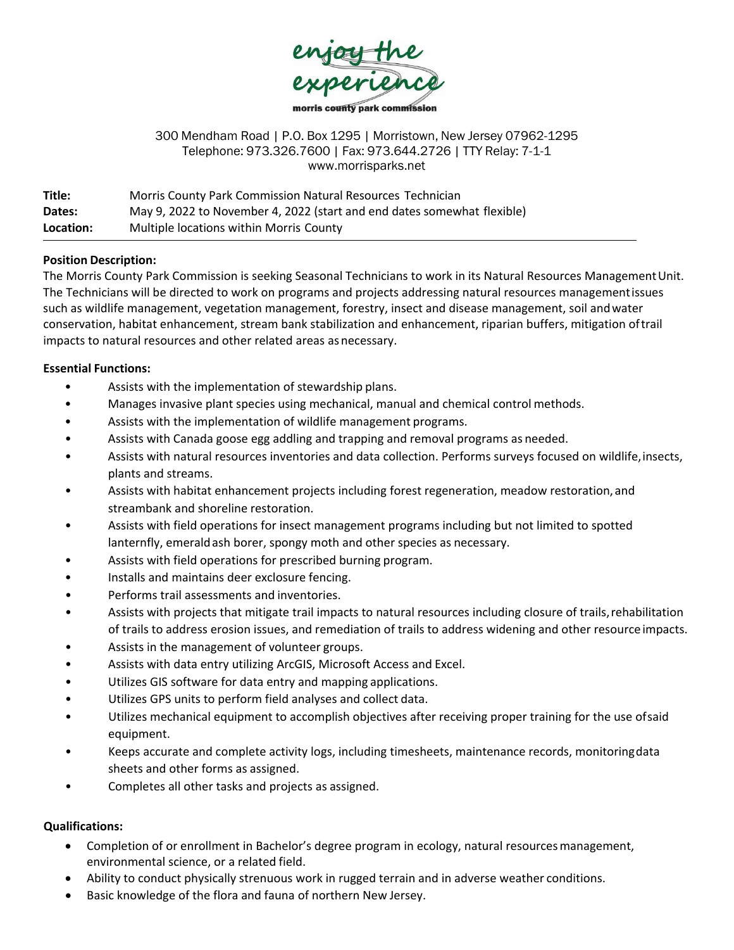

#### 300 Mendham Road | P.O. Box 1295 | Morristown, New Jersey 07962-1295 Telephone: 973.326.7600 | Fax: 973.644.2726 | TTY Relay: 7-1-1 www.morrisparks.net

| Title:    | Morris County Park Commission Natural Resources Technician              |
|-----------|-------------------------------------------------------------------------|
| Dates:    | May 9, 2022 to November 4, 2022 (start and end dates somewhat flexible) |
| Location: | Multiple locations within Morris County                                 |

## **Position Description:**

The Morris County Park Commission is seeking Seasonal Technicians to work in its Natural Resources ManagementUnit. The Technicians will be directed to work on programs and projects addressing natural resources managementissues such as wildlife management, vegetation management, forestry, insect and disease management, soil andwater conservation, habitat enhancement, stream bank stabilization and enhancement, riparian buffers, mitigation oftrail impacts to natural resources and other related areas as necessary.

## **Essential Functions:**

- Assists with the implementation of stewardship plans.
- Manages invasive plant species using mechanical, manual and chemical control methods.
- Assists with the implementation of wildlife management programs.
- Assists with Canada goose egg addling and trapping and removal programs as needed.
- Assists with natural resources inventories and data collection. Performs surveys focused on wildlife,insects, plants and streams.
- Assists with habitat enhancement projects including forest regeneration, meadow restoration, and streambank and shoreline restoration.
- Assists with field operations for insect management programs including but not limited to spotted lanternfly, emeraldash borer, spongy moth and other species as necessary.
- Assists with field operations for prescribed burning program.
- Installs and maintains deer exclosure fencing.
- Performs trail assessments and inventories.
- Assists with projects that mitigate trail impacts to natural resources including closure of trails,rehabilitation of trails to address erosion issues, and remediation of trails to address widening and other resource impacts.
- Assists in the management of volunteer groups.
- Assists with data entry utilizing ArcGIS, Microsoft Access and Excel.
- Utilizes GIS software for data entry and mapping applications.
- Utilizes GPS units to perform field analyses and collect data.
- Utilizes mechanical equipment to accomplish objectives after receiving proper training for the use ofsaid equipment.
- Keeps accurate and complete activity logs, including timesheets, maintenance records, monitoringdata sheets and other forms as assigned.
- Completes all other tasks and projects as assigned.

# **Qualifications:**

- Completion of or enrollment in Bachelor's degree program in ecology, natural resourcesmanagement, environmental science, or a related field.
- Ability to conduct physically strenuous work in rugged terrain and in adverse weather conditions.
- Basic knowledge of the flora and fauna of northern New Jersey.